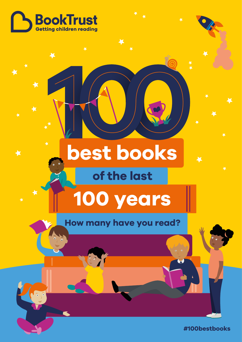

★

 $\ddot{\phantom{a}}$ 

# **best books**

### **of the last**

## **100 years**

### **How many have you read?**

**#100bestbooks**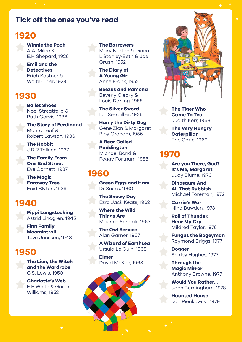#### **Tick off the ones you've read**

#### **1920**

**Winnie the Pooh** A.A. Milne & E.H Shepard, 1926

**Emil and the Detectives** Erich Kastner & Walter Trier, 1928

#### **1930**

**Ballet Shoes** Noel Streatfeild & Ruth Gervis, 1936

**The Story of Ferdinand** Munro Leaf & Robert Lawson, 1936

**The Hobbit** J R R Tolkien, 1937

**The Family From One End Street** Eve Garnett, 1937

**The Magic Faraway Tree** Enid Blyton, 1939

#### **1940**

**Pippi Longstocking** Astrid Lindgren, 1945

**Finn Family Moomintroll** Tove Jansson, 1948

#### **1950**

**The Lion, the Witch and the Wardrobe** C.S. Lewis, 1950

**Charlotte's Web**  E.B White & Garth Williams, 1952

#### **The Borrowers**

Mary Norton & Diana L Stanley/Beth & Joe Crush, 1952

**The Diary of A Young Girl** Anne Frank, 1952

**Beezus and Ramona** Beverly Cleary & Louis Darling, 1955

**The Silver Sword** Ian Serraillier, 1956

**Harry the Dirty Dog**  Gene Zion & Margaret Bloy Graham, 1956

**A Bear Called Paddington** Michael Bond & Peggy Fortnum, 1958

#### **1960**

**Green Eggs and Ham** Dr Seuss, 1960

**The Snowy Day** Ezra Jack Keats, 1962

**Where the Wild Things Are** Maurice Sendak, 1963

**The Owl Service** Alan Garner, 1967

**A Wizard of Earthsea** Ursula Le Guin, 1968

**Elmer** David McKee, 1968

**The Tiger Who Came To Tea**  Judith Kerr, 1968

**The Very Hungry Caterpillar**  Eric Carle, 1969

#### **1970**

**Are you There, God? It's Me, Margaret** Judy Blume, 1970

**Dinosaurs And All That Rubbish** Michael Foreman, 1972

**Carrie's War** Nina Bawden, 1973

**Roll of Thunder, Hear My Cry** Mildred Taylor, 1976

**Fungus the Bogeyman** Raymond Briggs, 1977

**Dogger** Shirley Hughes, 1977

**Through the Magic Mirror** Anthony Browne, 1977

**Would You Rather…** John Burningham, 1978

**Haunted House** Jan Pienkowski, 1979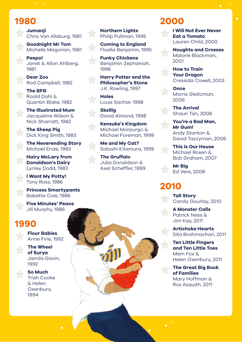#### **1980**

**Jumanji** Chris Van Allsburg, 1981

**Goodnight Mr Tom** Michelle Magorian, 1981

**Peepo!** Janet & Allan Ahlberg, 1981

**Dear Zoo** Rod Campbell, 1982

**The BFG** Roald Dahl & Quentin Blake, 1982

**The Illustrated Mum** Jacqueline Wilson & Nick Sharratt, 1982

**The Sheep Pig**  Dick King Smith, 1983

**The Neverending Story** Michael Ende, 1983

**Hairy McLary from Donaldson's Dairy** Lynley Dodd, 1983

**I Want My Potty!**  Tony Ross, 1986

**Princess Smartypants** Babette Cole, 1986

**Five Minutes' Peace** Jill Murphy, 1986

#### **1990**

**Flour Babies** Anne Fine, 1992

**The Wheel of Surya** Jamila Gavin, 1992

**So Much** Trish Cooke & Helen Oxenbury, 1994

**Northern Lights** Philip Pullman, 1995

**Coming to England** Floella Benjamin, 1995

**Funky Chickens** Benjamin Zephaniah, 1996

**Harry Potter and the Philosopher's Stone** J.K. Rowling, 1997

**Holes** Louis Sachar, 1998

**Skellig** David Almond, 1998

**Kensuke's Kingdom** Michael Morpurgo & Michael Foreman, 1999

**Me and My Cat?** Satoshi Kitamura, 1999

**The Gruffalo**  Julia Donaldson & Axel Scheffler, 1999

#### **2000**

**I Will Not Ever Never Eat a Tomato** Lauren Child, 2000

**Noughts and Crosses** Malorie Blackman, 2001

**How to Train Your Dragon** Cressida Cowell, 2003

**Once** Morris Gleitzman, 2006

**The Arrival** Shaun Tan, 2006

**You're a Bad Man, Mr Gum!** Andy Stanton & David Tazzyman, 2006

**This Is Our House** Michael Rosen & Bob Graham, 2007

**Mr Big** Ed Vere, 2008

#### **2010**

**Tall Story** Candy Gourlay, 2010

**A Monster Calls** Patrick Ness & Jim Kay, 2011

**Artichoke Hearts** Sita Brahmachari, 2011

#### **Ten Little Fingers and Ten Little Toes** Mem Fox &

Helen Oxenbury, 2011

**The Great Big Book of Families** Mary Hoffman & Ros Asquith, 2011